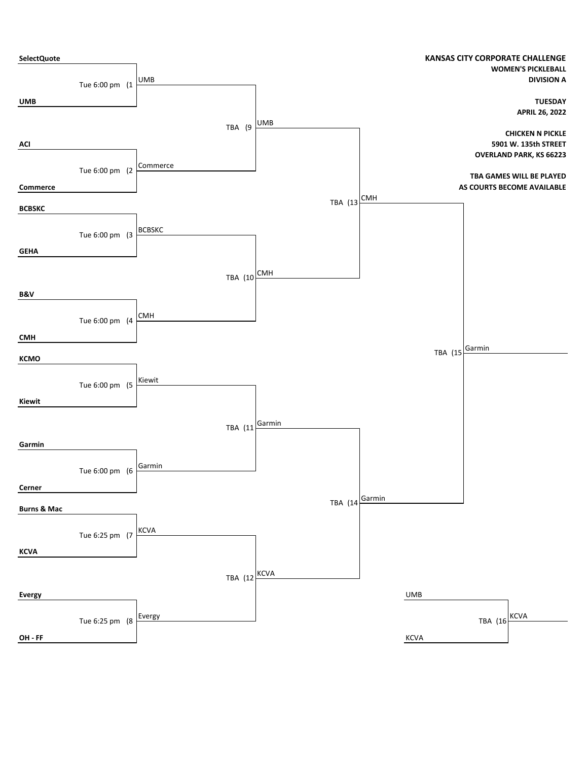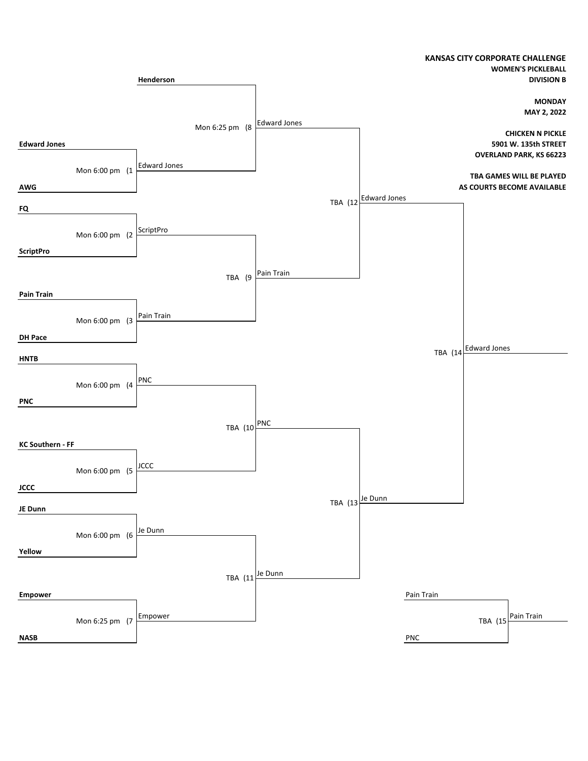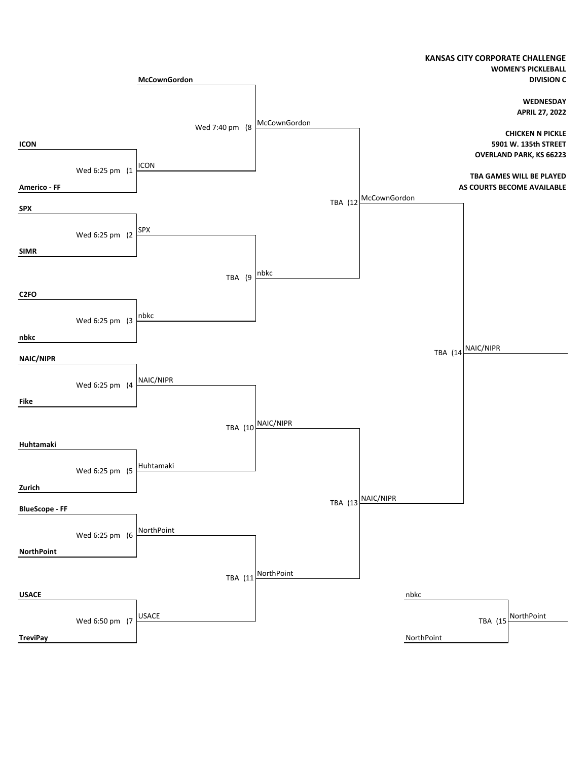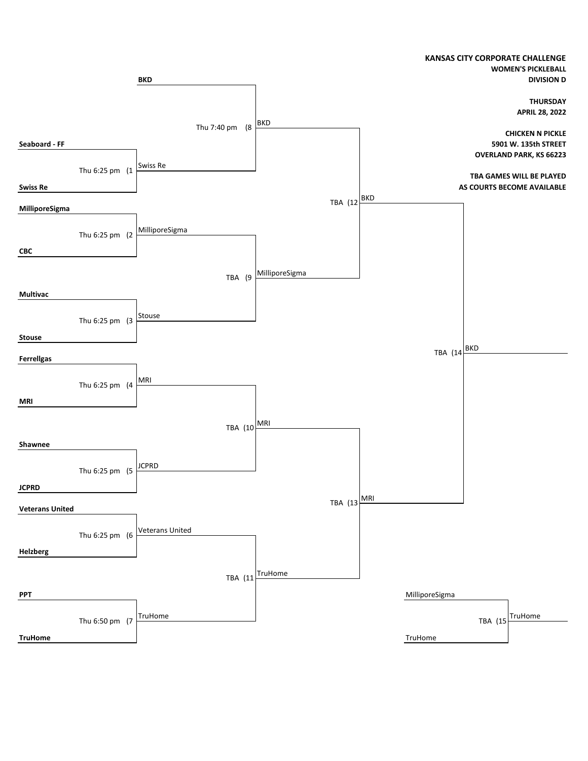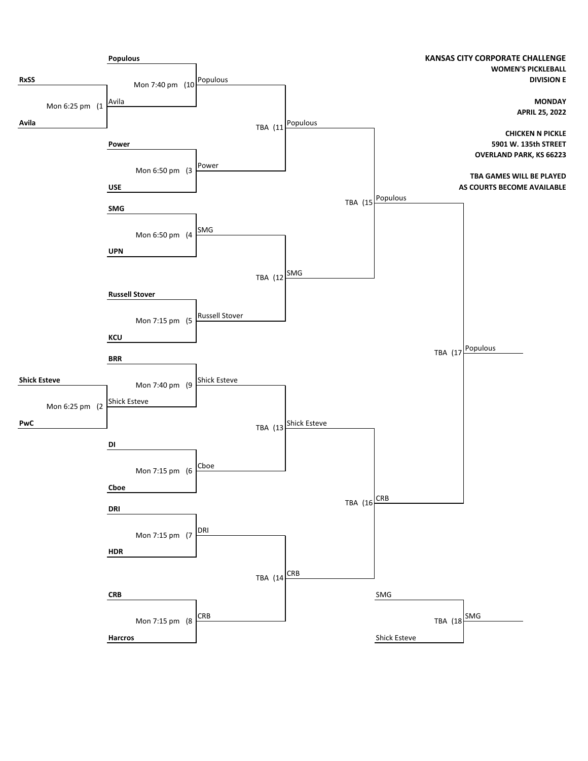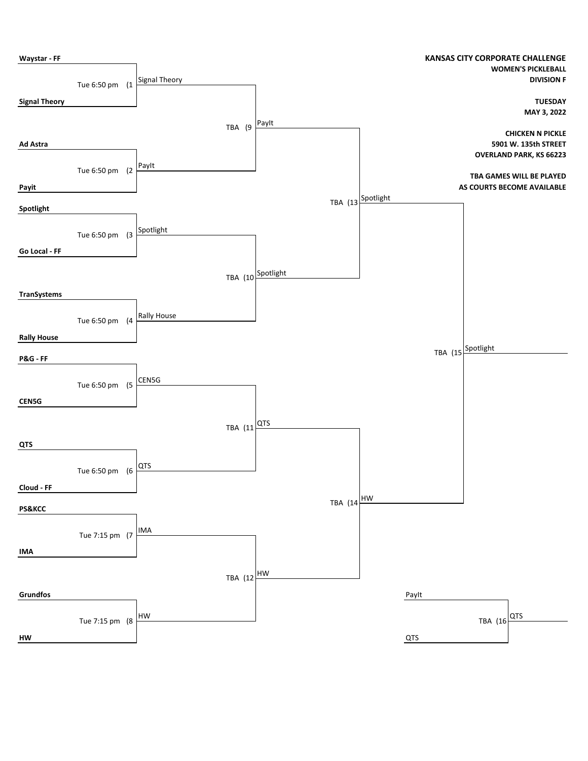